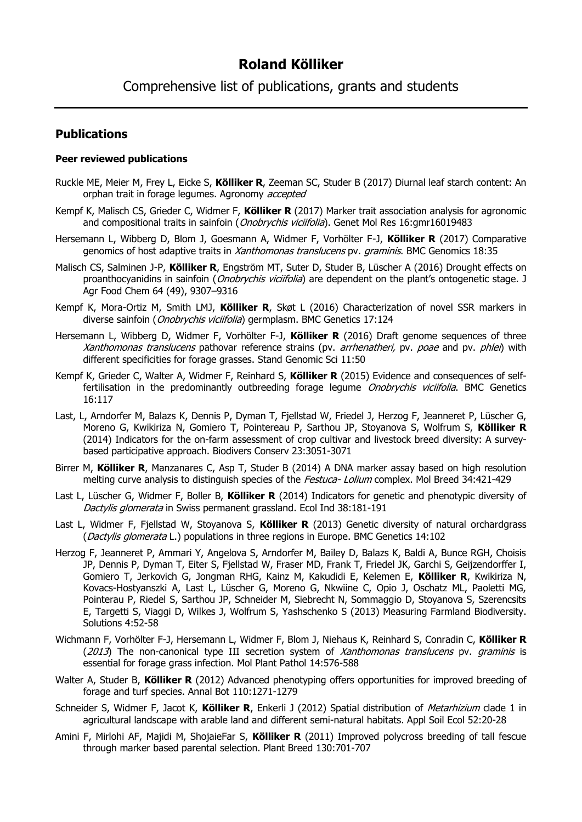# **Roland Kölliker**

Comprehensive list of publications, grants and students

## **Publications**

## **Peer reviewed publications**

- Ruckle ME, Meier M, Frey L, Eicke S, **Kölliker R**, Zeeman SC, Studer B (2017) Diurnal leaf starch content: An orphan trait in forage legumes. Agronomy accepted
- Kempf K, Malisch CS, Grieder C, Widmer F, **Kölliker R** (2017) Marker trait association analysis for agronomic and compositional traits in sainfoin (*Onobrychis viciifolia*). Genet Mol Res 16:gmr16019483
- Hersemann L, Wibberg D, Blom J, Goesmann A, Widmer F, Vorhölter F-J, **Kölliker R** (2017) Comparative genomics of host adaptive traits in Xanthomonas translucens pv. graminis. BMC Genomics 18:35
- Malisch CS, Salminen J-P, **Kölliker R**, Engström MT, Suter D, Studer B, Lüscher A (2016) Drought effects on proanthocyanidins in sainfoin (*Onobrychis viciifolia*) are dependent on the plant's ontogenetic stage. J Agr Food Chem 64 (49), 9307–9316
- Kempf K, Mora-Ortiz M, Smith LMJ, **Kölliker R**, Skøt L (2016) Characterization of novel SSR markers in diverse sainfoin (*Onobrychis viciifolia*) germplasm. BMC Genetics 17:124
- Hersemann L, Wibberg D, Widmer F, Vorhölter F-J, **Kölliker R** (2016) Draft genome sequences of three Xanthomonas translucens pathovar reference strains (pv. arrhenatheri, pv. poae and pv. phlei) with different specificities for forage grasses. Stand Genomic Sci 11:50
- Kempf K, Grieder C, Walter A, Widmer F, Reinhard S, **Kölliker R** (2015) Evidence and consequences of selffertilisation in the predominantly outbreeding forage legume Onobrychis viciifolia. BMC Genetics 16:117
- Last, L, Arndorfer M, Balazs K, Dennis P, Dyman T, Fjellstad W, Friedel J, Herzog F, Jeanneret P, Lüscher G, Moreno G, Kwikiriza N, Gomiero T, Pointereau P, Sarthou JP, Stoyanova S, Wolfrum S, **Kölliker R** (2014) Indicators for the on-farm assessment of crop cultivar and livestock breed diversity: A surveybased participative approach. Biodivers Conserv 23:3051-3071
- Birrer M, **Kölliker R**, Manzanares C, Asp T, Studer B (2014) A DNA marker assay based on high resolution melting curve analysis to distinguish species of the *Festuca- Lolium* complex. Mol Breed 34:421-429
- Last L, Lüscher G, Widmer F, Boller B, **Kölliker R** (2014) Indicators for genetic and phenotypic diversity of Dactylis glomerata in Swiss permanent grassland. Ecol Ind 38:181-191
- Last L, Widmer F, Fjellstad W, Stoyanova S, **Kölliker R** (2013) Genetic diversity of natural orchardgrass (Dactylis glomerata L.) populations in three regions in Europe. BMC Genetics 14:102
- Herzog F, Jeanneret P, Ammari Y, Angelova S, Arndorfer M, Bailey D, Balazs K, Baldi A, Bunce RGH, Choisis JP, Dennis P, Dyman T, Eiter S, Fjellstad W, Fraser MD, Frank T, Friedel JK, Garchi S, Geijzendorffer I, Gomiero T, Jerkovich G, Jongman RHG, Kainz M, Kakudidi E, Kelemen E, **Kölliker R**, Kwikiriza N, Kovacs-Hostyanszki A, Last L, Lüscher G, Moreno G, Nkwiine C, Opio J, Oschatz ML, Paoletti MG, Pointerau P, Riedel S, Sarthou JP, Schneider M, Siebrecht N, Sommaggio D, Stoyanova S, Szerencsits E, Targetti S, Viaggi D, Wilkes J, Wolfrum S, Yashschenko S (2013) Measuring Farmland Biodiversity. Solutions 4:52-58
- Wichmann F, Vorhölter F-J, Hersemann L, Widmer F, Blom J, Niehaus K, Reinhard S, Conradin C, **Kölliker R**  $(2013)$  The non-canonical type III secretion system of *Xanthomonas translucens* pv. *graminis* is essential for forage grass infection. Mol Plant Pathol 14:576-588
- Walter A, Studer B, **Kölliker R** (2012) Advanced phenotyping offers opportunities for improved breeding of forage and turf species. Annal Bot 110:1271-1279
- Schneider S, Widmer F, Jacot K, **Kölliker R**, Enkerli J (2012) Spatial distribution of Metarhizium clade 1 in agricultural landscape with arable land and different semi-natural habitats. Appl Soil Ecol 52:20-28
- Amini F, Mirlohi AF, Majidi M, ShojaieFar S, **Kölliker R** (2011) Improved polycross breeding of tall fescue through marker based parental selection. Plant Breed 130:701-707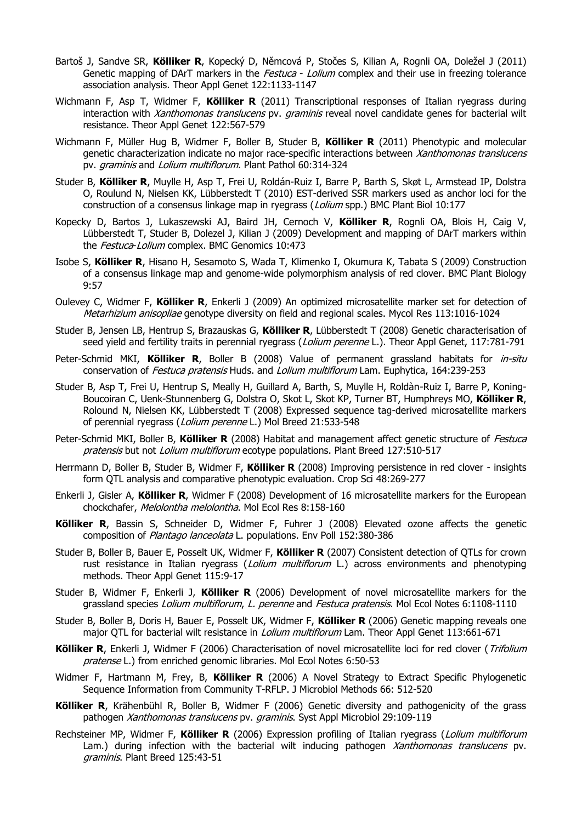- Bartoš J, Sandve SR, **Kölliker R**, Kopecký D, Němcová P, Stočes S, Kilian A, Rognli OA, Doležel J (2011) Genetic mapping of DArT markers in the *Festuca - Lolium* complex and their use in freezing tolerance association analysis. Theor Appl Genet 122:1133-1147
- Wichmann F, Asp T, Widmer F, **Kölliker R** (2011) Transcriptional responses of Italian ryegrass during interaction with *Xanthomonas translucens* pv. *graminis* reveal novel candidate genes for bacterial wilt resistance. Theor Appl Genet 122:567-579
- Wichmann F, Müller Hug B, Widmer F, Boller B, Studer B, **Kölliker R** (2011) Phenotypic and molecular genetic characterization indicate no major race-specific interactions between *Xanthomonas translucens* pv. graminis and Lolium multiflorum. Plant Pathol 60:314-324
- Studer B, **Kölliker R**, Muylle H, Asp T, Frei U, Roldán-Ruiz I, Barre P, Barth S, Skøt L, Armstead IP, Dolstra O, Roulund N, Nielsen KK, Lübberstedt T (2010) EST-derived SSR markers used as anchor loci for the construction of a consensus linkage map in ryegrass (*Lolium* spp.) BMC Plant Biol 10:177
- Kopecky D, Bartos J, Lukaszewski AJ, Baird JH, Cernoch V, **Kölliker R**, Rognli OA, Blois H, Caig V, Lübberstedt T, Studer B, Dolezel J, Kilian J (2009) Development and mapping of DArT markers within the Festuca-Lolium complex. BMC Genomics 10:473
- Isobe S, **Kölliker R**, Hisano H, Sesamoto S, Wada T, Klimenko I, Okumura K, Tabata S (2009) Construction of a consensus linkage map and genome-wide polymorphism analysis of red clover. BMC Plant Biology 9:57
- Oulevey C, Widmer F, **Kölliker R**, Enkerli J (2009) An optimized microsatellite marker set for detection of Metarhizium anisopliae genotype diversity on field and regional scales. Mycol Res 113:1016-1024
- Studer B, Jensen LB, Hentrup S, Brazauskas G, **Kölliker R**, Lübberstedt T (2008) Genetic characterisation of seed yield and fertility traits in perennial ryegrass (*Lolium perenne* L.). Theor Appl Genet, 117:781-791
- Peter-Schmid MKI, **Kölliker R**, Boller B (2008) Value of permanent grassland habitats for in-situ conservation of Festuca pratensis Huds. and Lolium multiflorum Lam. Euphytica, 164:239-253
- Studer B, Asp T, Frei U, Hentrup S, Meally H, Guillard A, Barth, S, Muylle H, Roldàn-Ruiz I, Barre P, Koning-Boucoiran C, Uenk-Stunnenberg G, Dolstra O, Skot L, Skot KP, Turner BT, Humphreys MO, **Kölliker R**, Rolound N, Nielsen KK, Lübberstedt T (2008) Expressed sequence tag-derived microsatellite markers of perennial ryegrass (Lolium perenne L.) Mol Breed 21:533-548
- Peter-Schmid MKI, Boller B, **Kölliker R** (2008) Habitat and management affect genetic structure of *Festuca* pratensis but not Lolium multiflorum ecotype populations. Plant Breed 127:510-517
- Herrmann D, Boller B, Studer B, Widmer F, **Kölliker R** (2008) Improving persistence in red clover insights form QTL analysis and comparative phenotypic evaluation. Crop Sci 48:269-277
- Enkerli J, Gisler A, **Kölliker R**, Widmer F (2008) Development of 16 microsatellite markers for the European chockchafer, Melolontha melolontha. Mol Ecol Res 8:158-160
- **Kölliker R**, Bassin S, Schneider D, Widmer F, Fuhrer J (2008) Elevated ozone affects the genetic composition of Plantago lanceolata L. populations. Env Poll 152:380-386
- Studer B, Boller B, Bauer E, Posselt UK, Widmer F, **Kölliker R** (2007) Consistent detection of QTLs for crown rust resistance in Italian ryegrass (*Lolium multiflorum* L.) across environments and phenotyping methods. Theor Appl Genet 115:9-17
- Studer B, Widmer F, Enkerli J, **Kölliker R** (2006) Development of novel microsatellite markers for the grassland species Lolium multiflorum, L. perenne and Festuca pratensis. Mol Ecol Notes 6:1108-1110
- Studer B, Boller B, Doris H, Bauer E, Posselt UK, Widmer F, **Kölliker R** (2006) Genetic mapping reveals one major QTL for bacterial wilt resistance in *Lolium multiflorum* Lam. Theor Appl Genet 113:661-671
- **Kölliker R**, Enkerli J, Widmer F (2006) Characterisation of novel microsatellite loci for red clover (Trifolium pratense L.) from enriched genomic libraries. Mol Ecol Notes 6:50-53
- Widmer F, Hartmann M, Frey, B, **Kölliker R** (2006) A Novel Strategy to Extract Specific Phylogenetic Sequence Information from Community T-RFLP. J Microbiol Methods 66: 512-520
- **Kölliker R**, Krähenbühl R, Boller B, Widmer F (2006) Genetic diversity and pathogenicity of the grass pathogen Xanthomonas translucens pv. graminis. Syst Appl Microbiol 29:109-119
- Rechsteiner MP, Widmer F, **Kölliker R** (2006) Expression profiling of Italian ryegrass (Lolium multiflorum Lam.) during infection with the bacterial wilt inducing pathogen Xanthomonas translucens pv. graminis. Plant Breed 125:43-51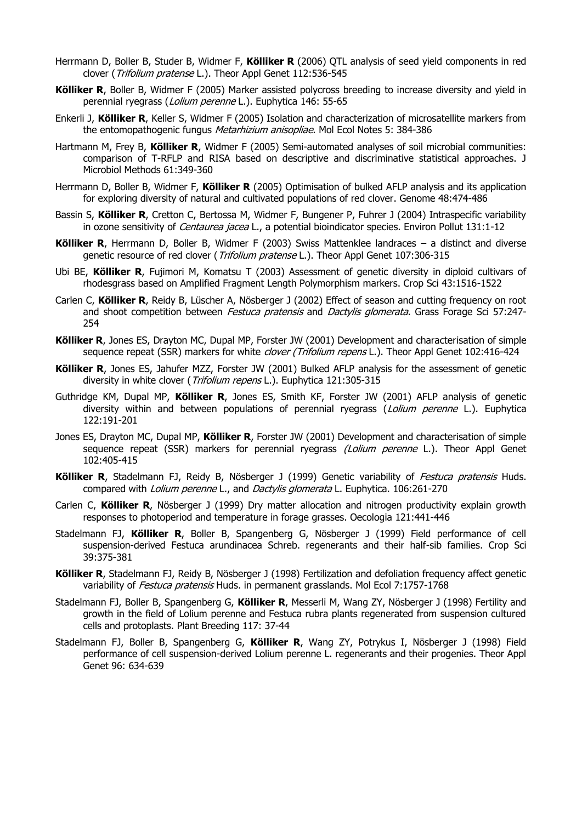- Herrmann D, Boller B, Studer B, Widmer F, **Kölliker R** (2006) QTL analysis of seed yield components in red clover (Trifolium pratense L.). Theor Appl Genet 112:536-545
- **Kölliker R**, Boller B, Widmer F (2005) Marker assisted polycross breeding to increase diversity and yield in perennial ryegrass (Lolium perenne L.). Euphytica 146: 55-65
- Enkerli J, **Kölliker R**, Keller S, Widmer F (2005) Isolation and characterization of microsatellite markers from the entomopathogenic fungus Metarhizium anisopliae. Mol Ecol Notes 5: 384-386
- Hartmann M, Frey B, **Kölliker R**, Widmer F (2005) Semi-automated analyses of soil microbial communities: comparison of T-RFLP and RISA based on descriptive and discriminative statistical approaches. J Microbiol Methods 61:349-360
- Herrmann D, Boller B, Widmer F, **Kölliker R** (2005) Optimisation of bulked AFLP analysis and its application for exploring diversity of natural and cultivated populations of red clover. Genome 48:474-486
- Bassin S, **Kölliker R**, Cretton C, Bertossa M, Widmer F, Bungener P, Fuhrer J (2004) Intraspecific variability in ozone sensitivity of *Centaurea jacea* L., a potential bioindicator species. Environ Pollut 131:1-12
- **Kölliker R**, Herrmann D, Boller B, Widmer F (2003) Swiss Mattenklee landraces a distinct and diverse genetic resource of red clover (Trifolium pratense L.). Theor Appl Genet 107:306-315
- Ubi BE, **Kölliker R**, Fujimori M, Komatsu T (2003) Assessment of genetic diversity in diploid cultivars of rhodesgrass based on Amplified Fragment Length Polymorphism markers. Crop Sci 43:1516-1522
- Carlen C, **Kölliker R**, Reidy B, Lüscher A, Nösberger J (2002) Effect of season and cutting frequency on root and shoot competition between *Festuca pratensis* and *Dactylis glomerata*. Grass Forage Sci 57:247-254
- **Kölliker R**, Jones ES, Drayton MC, Dupal MP, Forster JW (2001) Development and characterisation of simple sequence repeat (SSR) markers for white *clover (Trifolium repens* L.). Theor Appl Genet 102:416-424
- Kölliker R, Jones ES, Jahufer MZZ, Forster JW (2001) Bulked AFLP analysis for the assessment of genetic diversity in white clover (*Trifolium repens* L.). Euphytica 121:305-315
- Guthridge KM, Dupal MP, **Kölliker R**, Jones ES, Smith KF, Forster JW (2001) AFLP analysis of genetic diversity within and between populations of perennial ryegrass (Lolium perenne L.). Euphytica 122:191-201
- Jones ES, Drayton MC, Dupal MP, **Kölliker R**, Forster JW (2001) Development and characterisation of simple sequence repeat (SSR) markers for perennial ryegrass *(Lolium perenne* L.). Theor Appl Genet 102:405-415
- **Kölliker R**, Stadelmann FJ, Reidy B, Nösberger J (1999) Genetic variability of Festuca pratensis Huds. compared with *Lolium perenne* L., and *Dactylis glomerata* L. Euphytica. 106:261-270
- Carlen C, **Kölliker R**, Nösberger J (1999) Dry matter allocation and nitrogen productivity explain growth responses to photoperiod and temperature in forage grasses. Oecologia 121:441-446
- Stadelmann FJ, **Kölliker R**, Boller B, Spangenberg G, Nösberger J (1999) Field performance of cell suspension-derived Festuca arundinacea Schreb. regenerants and their half-sib families. Crop Sci 39:375-381
- **Kölliker R**, Stadelmann FJ, Reidy B, Nösberger J (1998) Fertilization and defoliation frequency affect genetic variability of Festuca pratensis Huds. in permanent grasslands. Mol Ecol 7:1757-1768
- Stadelmann FJ, Boller B, Spangenberg G, **Kölliker R**, Messerli M, Wang ZY, Nösberger J (1998) Fertility and growth in the field of Lolium perenne and Festuca rubra plants regenerated from suspension cultured cells and protoplasts. Plant Breeding 117: 37-44
- Stadelmann FJ, Boller B, Spangenberg G, **Kölliker R**, Wang ZY, Potrykus I, Nösberger J (1998) Field performance of cell suspension-derived Lolium perenne L. regenerants and their progenies. Theor Appl Genet 96: 634-639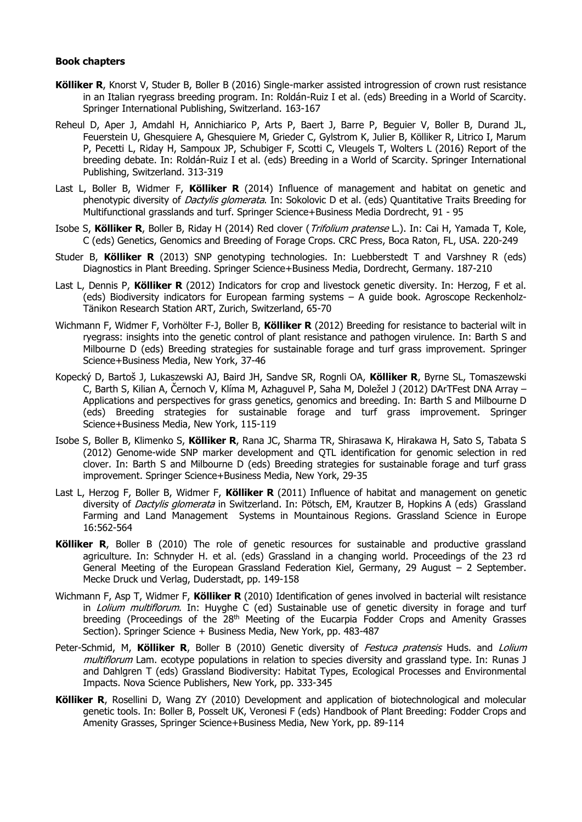#### **Book chapters**

- **Kölliker R**, Knorst V, Studer B, Boller B (2016) Single-marker assisted introgression of crown rust resistance in an Italian ryegrass breeding program. In: Roldán-Ruiz I et al. (eds) Breeding in a World of Scarcity. Springer International Publishing, Switzerland. 163-167
- Reheul D, Aper J, Amdahl H, Annichiarico P, Arts P, Baert J, Barre P, Beguier V, Boller B, Durand JL, Feuerstein U, Ghesquiere A, Ghesquiere M, Grieder C, Gylstrom K, Julier B, Kölliker R, Litrico I, Marum P, Pecetti L, Riday H, Sampoux JP, Schubiger F, Scotti C, Vleugels T, Wolters L (2016) Report of the breeding debate. In: Roldán-Ruiz I et al. (eds) Breeding in a World of Scarcity. Springer International Publishing, Switzerland. 313-319
- Last L, Boller B, Widmer F, **Kölliker R** (2014) Influence of management and habitat on genetic and phenotypic diversity of *Dactylis glomerata*. In: Sokolovic D et al. (eds) Quantitative Traits Breeding for Multifunctional grasslands and turf. Springer Science+Business Media Dordrecht, 91 - 95
- Isobe S, **Kölliker R**, Boller B, Riday H (2014) Red clover (Trifolium pratense L.). In: Cai H, Yamada T, Kole, C (eds) Genetics, Genomics and Breeding of Forage Crops. CRC Press, Boca Raton, FL, USA. 220-249
- Studer B, **Kölliker R** (2013) SNP genotyping technologies. In: Luebberstedt T and Varshney R (eds) Diagnostics in Plant Breeding. Springer Science+Business Media, Dordrecht, Germany. 187-210
- Last L, Dennis P, **Kölliker R** (2012) Indicators for crop and livestock genetic diversity. In: Herzog, F et al. (eds) Biodiversity indicators for European farming systems – A guide book. Agroscope Reckenholz-Tänikon Research Station ART, Zurich, Switzerland, 65-70
- Wichmann F, Widmer F, Vorhölter F-J, Boller B, **Kölliker R** (2012) Breeding for resistance to bacterial wilt in ryegrass: insights into the genetic control of plant resistance and pathogen virulence. In: Barth S and Milbourne D (eds) Breeding strategies for sustainable forage and turf grass improvement. Springer Science+Business Media, New York, 37-46
- Kopecký D, Bartoš J, Lukaszewski AJ, Baird JH, Sandve SR, Rognli OA, **Kölliker R**, Byrne SL, Tomaszewski C, Barth S, Kilian A, Černoch V, Klíma M, Azhaguvel P, Saha M, Doležel J (2012) DArTFest DNA Array – Applications and perspectives for grass genetics, genomics and breeding. In: Barth S and Milbourne D (eds) Breeding strategies for sustainable forage and turf grass improvement. Springer Science+Business Media, New York, 115-119
- Isobe S, Boller B, Klimenko S, **Kölliker R**, Rana JC, Sharma TR, Shirasawa K, Hirakawa H, Sato S, Tabata S (2012) Genome-wide SNP marker development and QTL identification for genomic selection in red clover. In: Barth S and Milbourne D (eds) Breeding strategies for sustainable forage and turf grass improvement. Springer Science+Business Media, New York, 29-35
- Last L, Herzog F, Boller B, Widmer F, **Kölliker R** (2011) Influence of habitat and management on genetic diversity of *Dactylis glomerata* in Switzerland. In: Pötsch, EM, Krautzer B, Hopkins A (eds) Grassland Farming and Land Management Systems in Mountainous Regions. Grassland Science in Europe 16:562-564
- **Kölliker R**, Boller B (2010) The role of genetic resources for sustainable and productive grassland agriculture. In: Schnyder H. et al. (eds) Grassland in a changing world. Proceedings of the 23 rd General Meeting of the European Grassland Federation Kiel, Germany, 29 August – 2 September. Mecke Druck und Verlag, Duderstadt, pp. 149-158
- Wichmann F, Asp T, Widmer F, **Kölliker R** (2010) Identification of genes involved in bacterial wilt resistance in Lolium multiflorum. In: Huyghe C (ed) Sustainable use of genetic diversity in forage and turf breeding (Proceedings of the 28<sup>th</sup> Meeting of the Eucarpia Fodder Crops and Amenity Grasses Section). Springer Science + Business Media, New York, pp. 483-487
- Peter-Schmid, M, **Kölliker R**, Boller B (2010) Genetic diversity of Festuca pratensis Huds. and Lolium multiflorum Lam. ecotype populations in relation to species diversity and grassland type. In: Runas J and Dahlgren T (eds) Grassland Biodiversity: Habitat Types, Ecological Processes and Environmental Impacts. Nova Science Publishers, New York, pp. 333-345
- **Kölliker R**, Rosellini D, Wang ZY (2010) Development and application of biotechnological and molecular genetic tools. In: Boller B, Posselt UK, Veronesi F (eds) Handbook of Plant Breeding: Fodder Crops and Amenity Grasses, Springer Science+Business Media, New York, pp. 89-114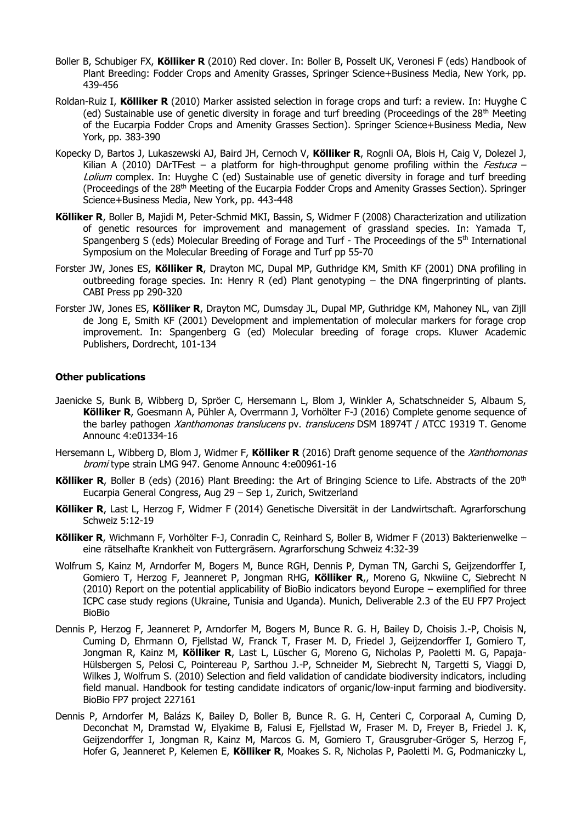- Boller B, Schubiger FX, **Kölliker R** (2010) Red clover. In: Boller B, Posselt UK, Veronesi F (eds) Handbook of Plant Breeding: Fodder Crops and Amenity Grasses, Springer Science+Business Media, New York, pp. 439-456
- Roldan-Ruiz I, **Kölliker R** (2010) Marker assisted selection in forage crops and turf: a review. In: Huyghe C (ed) Sustainable use of genetic diversity in forage and turf breeding (Proceedings of the  $28<sup>th</sup>$  Meeting of the Eucarpia Fodder Crops and Amenity Grasses Section). Springer Science+Business Media, New York, pp. 383-390
- Kopecky D, Bartos J, Lukaszewski AJ, Baird JH, Cernoch V, **Kölliker R**, Rognli OA, Blois H, Caig V, Dolezel J, Kilian A (2010) DArTFest – a platform for high-throughput genome profiling within the Festuca – Lolium complex. In: Huyghe C (ed) Sustainable use of genetic diversity in forage and turf breeding (Proceedings of the 28th Meeting of the Eucarpia Fodder Crops and Amenity Grasses Section). Springer Science+Business Media, New York, pp. 443-448
- **Kölliker R**, Boller B, Majidi M, Peter-Schmid MKI, Bassin, S, Widmer F (2008) Characterization and utilization of genetic resources for improvement and management of grassland species. In: Yamada T, Spangenberg S (eds) Molecular Breeding of Forage and Turf - The Proceedings of the 5<sup>th</sup> International Symposium on the Molecular Breeding of Forage and Turf pp 55-70
- Forster JW, Jones ES, **Kölliker R**, Drayton MC, Dupal MP, Guthridge KM, Smith KF (2001) DNA profiling in outbreeding forage species. In: Henry R (ed) Plant genotyping – the DNA fingerprinting of plants. CABI Press pp 290-320
- Forster JW, Jones ES, **Kölliker R**, Drayton MC, Dumsday JL, Dupal MP, Guthridge KM, Mahoney NL, van Zijll de Jong E, Smith KF (2001) Development and implementation of molecular markers for forage crop improvement. In: Spangenberg G (ed) Molecular breeding of forage crops. Kluwer Academic Publishers, Dordrecht, 101-134

## **Other publications**

- Jaenicke S, Bunk B, Wibberg D, Spröer C, Hersemann L, Blom J, Winkler A, Schatschneider S, Albaum S, **Kölliker R**, Goesmann A, Pühler A, Overrmann J, Vorhölter F-J (2016) Complete genome sequence of the barley pathogen *Xanthomonas translucens* pv. *translucens* DSM 18974T / ATCC 19319 T. Genome Announc 4:e01334-16
- Hersemann L, Wibberg D, Blom J, Widmer F, **Kölliker R** (2016) Draft genome sequence of the Xanthomonas bromi type strain LMG 947. Genome Announc 4:e00961-16
- **Kölliker R**, Boller B (eds) (2016) Plant Breeding: the Art of Bringing Science to Life. Abstracts of the 20<sup>th</sup> Eucarpia General Congress, Aug 29 – Sep 1, Zurich, Switzerland
- **Kölliker R**, Last L, Herzog F, Widmer F (2014) Genetische Diversität in der Landwirtschaft. Agrarforschung Schweiz 5:12-19
- **Kölliker R**, Wichmann F, Vorhölter F-J, Conradin C, Reinhard S, Boller B, Widmer F (2013) Bakterienwelke eine rätselhafte Krankheit von Futtergräsern. Agrarforschung Schweiz 4:32-39
- Wolfrum S, Kainz M, Arndorfer M, Bogers M, Bunce RGH, Dennis P, Dyman TN, Garchi S, Geijzendorffer I, Gomiero T, Herzog F, Jeanneret P, Jongman RHG, **Kölliker R**,, Moreno G, Nkwiine C, Siebrecht N (2010) Report on the potential applicability of BioBio indicators beyond Europe – exemplified for three ICPC case study regions (Ukraine, Tunisia and Uganda). Munich, Deliverable 2.3 of the EU FP7 Project BioBio
- Dennis P, Herzog F, Jeanneret P, Arndorfer M, Bogers M, Bunce R. G. H, Bailey D, Choisis J.-P, Choisis N, Cuming D, Ehrmann O, Fjellstad W, Franck T, Fraser M. D, Friedel J, Geijzendorffer I, Gomiero T, Jongman R, Kainz M, **Kölliker R**, Last L, Lüscher G, Moreno G, Nicholas P, Paoletti M. G, Papaja-Hülsbergen S, Pelosi C, Pointereau P, Sarthou J.-P, Schneider M, Siebrecht N, Targetti S, Viaggi D, Wilkes J, Wolfrum S. (2010) Selection and field validation of candidate biodiversity indicators, including field manual. Handbook for testing candidate indicators of organic/low-input farming and biodiversity. BioBio FP7 project 227161
- Dennis P, Arndorfer M, Balázs K, Bailey D, Boller B, Bunce R. G. H, Centeri C, Corporaal A, Cuming D, Deconchat M, Dramstad W, Elyakime B, Falusi E, Fjellstad W, Fraser M. D, Freyer B, Friedel J. K, Geijzendorffer I, Jongman R, Kainz M, Marcos G. M, Gomiero T, Grausgruber-Gröger S, Herzog F, Hofer G, Jeanneret P, Kelemen E, **Kölliker R**, Moakes S. R, Nicholas P, Paoletti M. G, Podmaniczky L,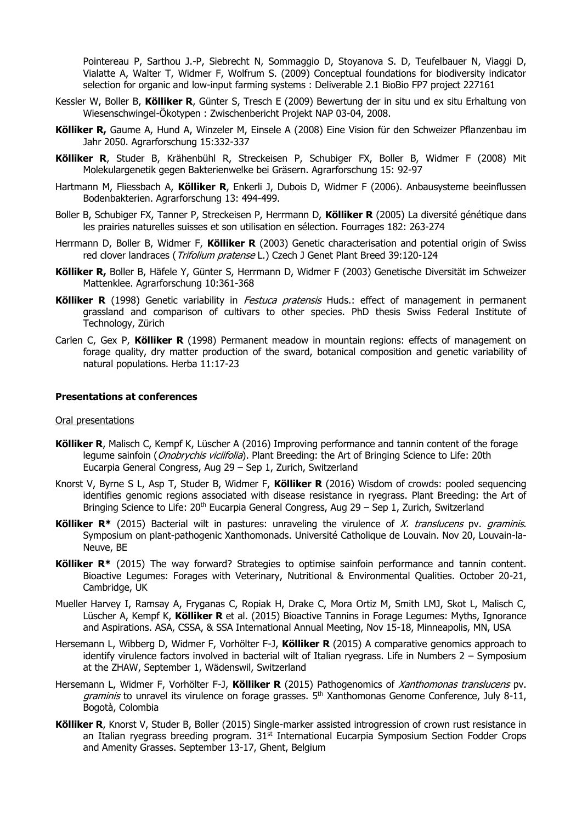Pointereau P, Sarthou J.-P, Siebrecht N, Sommaggio D, Stoyanova S. D, Teufelbauer N, Viaggi D, Vialatte A, Walter T, Widmer F, Wolfrum S. (2009) Conceptual foundations for biodiversity indicator selection for organic and low-input farming systems : Deliverable 2.1 BioBio FP7 project 227161

- Kessler W, Boller B, **Kölliker R**, Günter S, Tresch E (2009) Bewertung der in situ und ex situ Erhaltung von Wiesenschwingel-Ökotypen : Zwischenbericht Projekt NAP 03-04, 2008.
- **Kölliker R,** Gaume A, Hund A, Winzeler M, Einsele A (2008) Eine Vision für den Schweizer Pflanzenbau im Jahr 2050. Agrarforschung 15:332-337
- **Kölliker R**, Studer B, Krähenbühl R, Streckeisen P, Schubiger FX, Boller B, Widmer F (2008) Mit Molekulargenetik gegen Bakterienwelke bei Gräsern. Agrarforschung 15: 92-97
- Hartmann M, Fliessbach A, **Kölliker R**, Enkerli J, Dubois D, Widmer F (2006). Anbausysteme beeinflussen Bodenbakterien. Agrarforschung 13: 494-499.
- Boller B, Schubiger FX, Tanner P, Streckeisen P, Herrmann D, **Kölliker R** (2005) La diversité génétique dans les prairies naturelles suisses et son utilisation en sélection. Fourrages 182: 263-274
- Herrmann D, Boller B, Widmer F, **Kölliker R** (2003) Genetic characterisation and potential origin of Swiss red clover landraces (*Trifolium pratense* L.) Czech J Genet Plant Breed 39:120-124
- **Kölliker R,** Boller B, Häfele Y, Günter S, Herrmann D, Widmer F (2003) Genetische Diversität im Schweizer Mattenklee. Agrarforschung 10:361-368
- **Kölliker R** (1998) Genetic variability in *Festuca pratensis* Huds.: effect of management in permanent grassland and comparison of cultivars to other species. PhD thesis Swiss Federal Institute of Technology, Zürich
- Carlen C, Gex P, **Kölliker R** (1998) Permanent meadow in mountain regions: effects of management on forage quality, dry matter production of the sward, botanical composition and genetic variability of natural populations. Herba 11:17-23

#### **Presentations at conferences**

#### Oral presentations

- **Kölliker R**, Malisch C, Kempf K, Lüscher A (2016) Improving performance and tannin content of the forage legume sainfoin (*Onobrychis viciifolia*). Plant Breeding: the Art of Bringing Science to Life: 20th Eucarpia General Congress, Aug 29 – Sep 1, Zurich, Switzerland
- Knorst V, Byrne S L, Asp T, Studer B, Widmer F, **Kölliker R** (2016) Wisdom of crowds: pooled sequencing identifies genomic regions associated with disease resistance in ryegrass. Plant Breeding: the Art of Bringing Science to Life: 20<sup>th</sup> Eucarpia General Congress, Aug 29 - Sep 1, Zurich, Switzerland
- **Kölliker R<sup>\*</sup>** (2015) Bacterial wilt in pastures: unraveling the virulence of X. translucens pv. graminis. Symposium on plant-pathogenic Xanthomonads. Université Catholique de Louvain. Nov 20, Louvain-la-Neuve, BE
- **Kölliker R\*** (2015) The way forward? Strategies to optimise sainfoin performance and tannin content. Bioactive Legumes: Forages with Veterinary, Nutritional & Environmental Qualities. October 20-21, Cambridge, UK
- Mueller Harvey I, Ramsay A, Fryganas C, Ropiak H, Drake C, Mora Ortiz M, Smith LMJ, Skot L, Malisch C, Lüscher A, Kempf K, **Kölliker R** et al. (2015) Bioactive Tannins in Forage Legumes: Myths, Ignorance and Aspirations. ASA, CSSA, & SSA International Annual Meeting, Nov 15-18, Minneapolis, MN, USA
- Hersemann L, Wibberg D, Widmer F, Vorhölter F-J, **Kölliker R** (2015) A comparative genomics approach to identify virulence factors involved in bacterial wilt of Italian ryegrass. Life in Numbers 2 – Symposium at the ZHAW, September 1, Wädenswil, Switzerland
- Hersemann L, Widmer F, Vorhölter F-J, **Kölliker R** (2015) Pathogenomics of Xanthomonas translucens pv. *graminis* to unravel its virulence on forage grasses.  $5<sup>th</sup>$  Xanthomonas Genome Conference, July 8-11, Bogotà, Colombia
- **Kölliker R**, Knorst V, Studer B, Boller (2015) Single-marker assisted introgression of crown rust resistance in an Italian ryegrass breeding program.  $31<sup>st</sup>$  International Eucarpia Symposium Section Fodder Crops and Amenity Grasses. September 13-17, Ghent, Belgium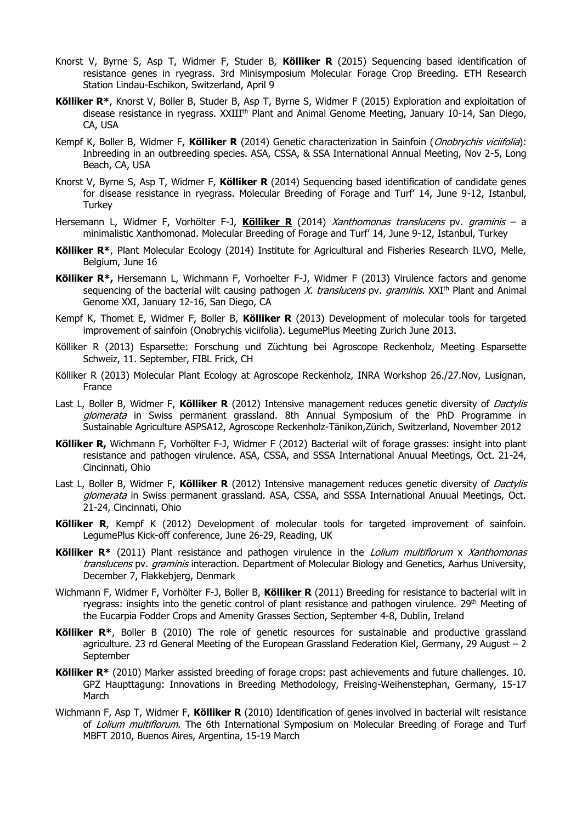- Knorst V, Byrne S, Asp T, Widmer F, Studer B, **Kölliker R** (2015) Sequencing based identification of resistance genes in ryegrass. 3rd Minisymposium Molecular Forage Crop Breeding. ETH Research Station Lindau-Eschikon, Switzerland, April 9
- **Kölliker R\***, Knorst V, Boller B, Studer B, Asp T, Byrne S, Widmer F (2015) Exploration and exploitation of disease resistance in ryegrass. XXIII<sup>th</sup> Plant and Animal Genome Meeting, January 10-14, San Diego, CA, USA
- Kempf K, Boller B, Widmer F, **Kölliker R** (2014) Genetic characterization in Sainfoin (Onobrychis viciifolia): Inbreeding in an outbreeding species. ASA, CSSA, & SSA International Annual Meeting, Nov 2-5, Long Beach, CA, USA
- Knorst V, Byrne S, Asp T, Widmer F, **Kölliker R** (2014) Sequencing based identification of candidate genes for disease resistance in ryegrass. Molecular Breeding of Forage and Turf' 14, June 9-12, Istanbul, **Turkey**
- Hersemann L, Widmer F, Vorhölter F-J, **Kölliker R** (2014) Xanthomonas translucens pv. graminis a minimalistic Xanthomonad. Molecular Breeding of Forage and Turf' 14, June 9-12, Istanbul, Turkey
- **Kölliker R\***, Plant Molecular Ecology (2014) Institute for Agricultural and Fisheries Research ILVO, Melle, Belgium, June 16
- **Kölliker R\*,** Hersemann L, Wichmann F, Vorhoelter F-J, Widmer F (2013) Virulence factors and genome sequencing of the bacterial wilt causing pathogen X. translucens pv. graminis.  $XXI<sup>th</sup>$  Plant and Animal Genome XXI, January 12-16, San Diego, CA
- Kempf K, Thomet E, Widmer F, Boller B, **Kölliker R** (2013) Development of molecular tools for targeted improvement of sainfoin (Onobrychis viciifolia). LegumePlus Meeting Zurich June 2013.
- Kölliker R (2013) Esparsette: Forschung und Züchtung bei Agroscope Reckenholz, Meeting Esparsette Schweiz, 11. September, FIBL Frick, CH
- Kölliker R (2013) Molecular Plant Ecology at Agroscope Reckenholz, INRA Workshop 26./27.Nov, Lusignan, France
- Last L, Boller B, Widmer F, **Kölliker R** (2012) Intensive management reduces genetic diversity of Dactylis glomerata in Swiss permanent grassland. 8th Annual Symposium of the PhD Programme in Sustainable Agriculture ASPSA12, Agroscope Reckenholz-Tänikon,Zürich, Switzerland, November 2012
- **Kölliker R,** Wichmann F, Vorhölter F-J, Widmer F (2012) Bacterial wilt of forage grasses: insight into plant resistance and pathogen virulence. ASA, CSSA, and SSSA International Anuual Meetings, Oct. 21-24, Cincinnati, Ohio
- Last L, Boller B, Widmer F, **Kölliker R** (2012) Intensive management reduces genetic diversity of Dactylis glomerata in Swiss permanent grassland. ASA, CSSA, and SSSA International Anuual Meetings, Oct. 21-24, Cincinnati, Ohio
- **Kölliker R**, Kempf K (2012) Development of molecular tools for targeted improvement of sainfoin. LegumePlus Kick-off conference, June 26-29, Reading, UK
- **Kölliker R\*** (2011) Plant resistance and pathogen virulence in the *Lolium multiflorum x Xanthomonas* translucens pv. graminis interaction. Department of Molecular Biology and Genetics, Aarhus University, December 7, Flakkebjerg, Denmark
- Wichmann F, Widmer F, Vorhölter F-J, Boller B, **Kölliker R** (2011) Breeding for resistance to bacterial wilt in ryegrass: insights into the genetic control of plant resistance and pathogen virulence. 29<sup>th</sup> Meeting of the Eucarpia Fodder Crops and Amenity Grasses Section, September 4-8, Dublin, Ireland
- **Kölliker R\***, Boller B (2010) The role of genetic resources for sustainable and productive grassland agriculture. 23 rd General Meeting of the European Grassland Federation Kiel, Germany, 29 August – 2 September
- **Kölliker R\*** (2010) Marker assisted breeding of forage crops: past achievements and future challenges. 10. GPZ Haupttagung: Innovations in Breeding Methodology, Freising-Weihenstephan, Germany, 15-17 March
- Wichmann F, Asp T, Widmer F, **Kölliker R** (2010) Identification of genes involved in bacterial wilt resistance of Lolium multiflorum. The 6th International Symposium on Molecular Breeding of Forage and Turf MBFT 2010, Buenos Aires, Argentina, 15-19 March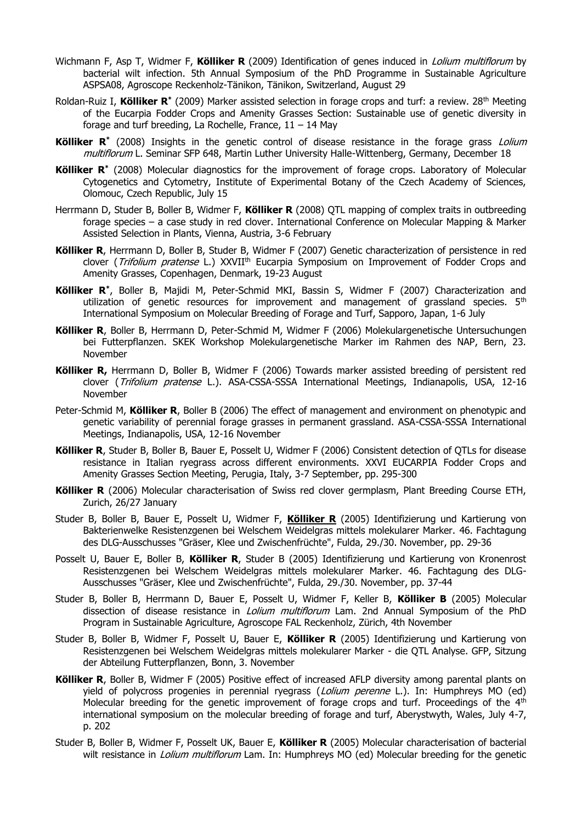- Wichmann F, Asp T, Widmer F, **Kölliker R** (2009) Identification of genes induced in Lolium multiflorum by bacterial wilt infection. 5th Annual Symposium of the PhD Programme in Sustainable Agriculture ASPSA08, Agroscope Reckenholz-Tänikon, Tänikon, Switzerland, August 29
- Roldan-Ruiz I, **Kölliker R\*** (2009) Marker assisted selection in forage crops and turf: a review. 28th Meeting of the Eucarpia Fodder Crops and Amenity Grasses Section: Sustainable use of genetic diversity in forage and turf breeding, La Rochelle, France,  $11 - 14$  May
- **Kölliker R\*** (2008) Insights in the genetic control of disease resistance in the forage grass Lolium multiflorum L. Seminar SFP 648, Martin Luther University Halle-Wittenberg, Germany, December 18
- **Kölliker R\*** (2008) Molecular diagnostics for the improvement of forage crops. Laboratory of Molecular Cytogenetics and Cytometry, Institute of Experimental Botany of the Czech Academy of Sciences, Olomouc, Czech Republic, July 15
- Herrmann D, Studer B, Boller B, Widmer F, **Kölliker R** (2008) QTL mapping of complex traits in outbreeding forage species – a case study in red clover. International Conference on Molecular Mapping & Marker Assisted Selection in Plants, Vienna, Austria, 3-6 February
- **Kölliker R**, Herrmann D, Boller B, Studer B, Widmer F (2007) Genetic characterization of persistence in red clover (Trifolium pratense L.) XXVII<sup>th</sup> Eucarpia Symposium on Improvement of Fodder Crops and Amenity Grasses, Copenhagen, Denmark, 19-23 August
- **Kölliker R\*** , Boller B, Majidi M, Peter-Schmid MKI, Bassin S, Widmer F (2007) Characterization and utilization of genetic resources for improvement and management of grassland species.  $5<sup>th</sup>$ International Symposium on Molecular Breeding of Forage and Turf, Sapporo, Japan, 1-6 July
- **Kölliker R**, Boller B, Herrmann D, Peter-Schmid M, Widmer F (2006) Molekulargenetische Untersuchungen bei Futterpflanzen. SKEK Workshop Molekulargenetische Marker im Rahmen des NAP, Bern, 23. November
- **Kölliker R,** Herrmann D, Boller B, Widmer F (2006) Towards marker assisted breeding of persistent red clover (Trifolium pratense L.). ASA-CSSA-SSSA International Meetings, Indianapolis, USA, 12-16 November
- Peter-Schmid M, **Kölliker R**, Boller B (2006) The effect of management and environment on phenotypic and genetic variability of perennial forage grasses in permanent grassland. ASA-CSSA-SSSA International Meetings, Indianapolis, USA, 12-16 November
- **Kölliker R**, Studer B, Boller B, Bauer E, Posselt U, Widmer F (2006) Consistent detection of QTLs for disease resistance in Italian ryegrass across different environments. XXVI EUCARPIA Fodder Crops and Amenity Grasses Section Meeting, Perugia, Italy, 3-7 September, pp. 295-300
- **Kölliker R** (2006) Molecular characterisation of Swiss red clover germplasm, Plant Breeding Course ETH, Zurich, 26/27 January
- Studer B, Boller B, Bauer E, Posselt U, Widmer F, **Kölliker R** (2005) Identifizierung und Kartierung von Bakterienwelke Resistenzgenen bei Welschem Weidelgras mittels molekularer Marker. 46. Fachtagung des DLG-Ausschusses "Gräser, Klee und Zwischenfrüchte", Fulda, 29./30. November, pp. 29-36
- Posselt U, Bauer E, Boller B, **Kölliker R**, Studer B (2005) Identifizierung und Kartierung von Kronenrost Resistenzgenen bei Welschem Weidelgras mittels molekularer Marker. 46. Fachtagung des DLG-Ausschusses "Gräser, Klee und Zwischenfrüchte", Fulda, 29./30. November, pp. 37-44
- Studer B, Boller B, Herrmann D, Bauer E, Posselt U, Widmer F, Keller B, **Kölliker B** (2005) Molecular dissection of disease resistance in *Lolium multiflorum* Lam. 2nd Annual Symposium of the PhD Program in Sustainable Agriculture, Agroscope FAL Reckenholz, Zürich, 4th November
- Studer B, Boller B, Widmer F, Posselt U, Bauer E, **Kölliker R** (2005) Identifizierung und Kartierung von Resistenzgenen bei Welschem Weidelgras mittels molekularer Marker - die QTL Analyse. GFP, Sitzung der Abteilung Futterpflanzen, Bonn, 3. November
- **Kölliker R**, Boller B, Widmer F (2005) Positive effect of increased AFLP diversity among parental plants on yield of polycross progenies in perennial ryegrass (Lolium perenne L.). In: Humphreys MO (ed) Molecular breeding for the genetic improvement of forage crops and turf. Proceedings of the  $4<sup>th</sup>$ international symposium on the molecular breeding of forage and turf, Aberystwyth, Wales, July 4-7, p. 202
- Studer B, Boller B, Widmer F, Posselt UK, Bauer E, **Kölliker R** (2005) Molecular characterisation of bacterial wilt resistance in *Lolium multiflorum* Lam. In: Humphreys MO (ed) Molecular breeding for the genetic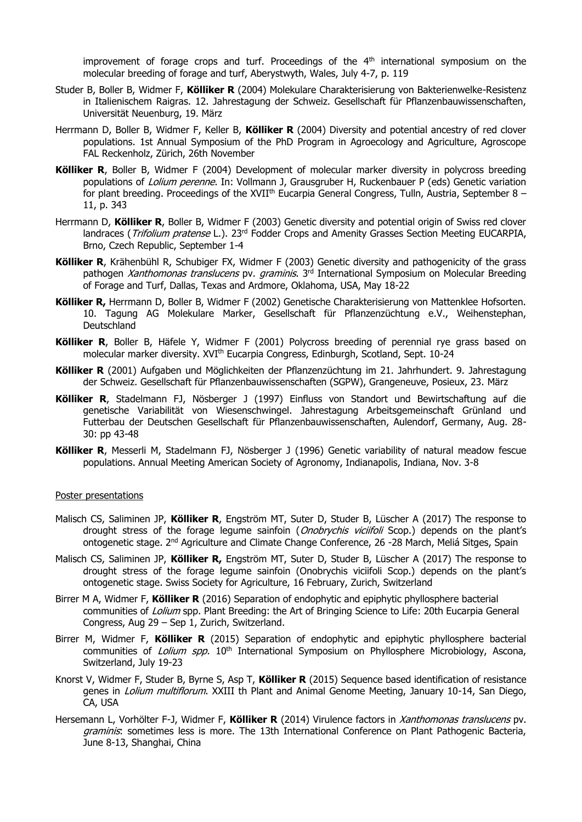improvement of forage crops and turf. Proceedings of the  $4<sup>th</sup>$  international symposium on the molecular breeding of forage and turf, Aberystwyth, Wales, July 4-7, p. 119

- Studer B, Boller B, Widmer F, **Kölliker R** (2004) Molekulare Charakterisierung von Bakterienwelke-Resistenz in Italienischem Raigras. 12. Jahrestagung der Schweiz. Gesellschaft für Pflanzenbauwissenschaften, Universität Neuenburg, 19. März
- Herrmann D, Boller B, Widmer F, Keller B, **Kölliker R** (2004) Diversity and potential ancestry of red clover populations. 1st Annual Symposium of the PhD Program in Agroecology and Agriculture, Agroscope FAL Reckenholz, Zürich, 26th November
- **Kölliker R**, Boller B, Widmer F (2004) Development of molecular marker diversity in polycross breeding populations of Lolium perenne. In: Vollmann J, Grausgruber H, Ruckenbauer P (eds) Genetic variation for plant breeding. Proceedings of the XVII<sup>th</sup> Eucarpia General Congress, Tulln, Austria, September 8 -11, p. 343
- Herrmann D, **Kölliker R**, Boller B, Widmer F (2003) Genetic diversity and potential origin of Swiss red clover landraces (*Trifolium pratense* L.). 23<sup>rd</sup> Fodder Crops and Amenity Grasses Section Meeting EUCARPIA, Brno, Czech Republic, September 1-4
- **Kölliker R**, Krähenbühl R, Schubiger FX, Widmer F (2003) Genetic diversity and pathogenicity of the grass pathogen Xanthomonas translucens pv. graminis. 3rd International Symposium on Molecular Breeding of Forage and Turf, Dallas, Texas and Ardmore, Oklahoma, USA, May 18-22
- **Kölliker R,** Herrmann D, Boller B, Widmer F (2002) Genetische Charakterisierung von Mattenklee Hofsorten. 10. Tagung AG Molekulare Marker, Gesellschaft für Pflanzenzüchtung e.V., Weihenstephan, Deutschland
- **Kölliker R**, Boller B, Häfele Y, Widmer F (2001) Polycross breeding of perennial rye grass based on molecular marker diversity. XVI<sup>th</sup> Eucarpia Congress, Edinburgh, Scotland, Sept. 10-24
- **Kölliker R** (2001) Aufgaben und Möglichkeiten der Pflanzenzüchtung im 21. Jahrhundert. 9. Jahrestagung der Schweiz. Gesellschaft für Pflanzenbauwissenschaften (SGPW), Grangeneuve, Posieux, 23. März
- **Kölliker R**, Stadelmann FJ, Nösberger J (1997) Einfluss von Standort und Bewirtschaftung auf die genetische Variabilität von Wiesenschwingel. Jahrestagung Arbeitsgemeinschaft Grünland und Futterbau der Deutschen Gesellschaft für Pflanzenbauwissenschaften, Aulendorf, Germany, Aug. 28- 30: pp 43-48
- **Kölliker R**, Messerli M, Stadelmann FJ, Nösberger J (1996) Genetic variability of natural meadow fescue populations. Annual Meeting American Society of Agronomy, Indianapolis, Indiana, Nov. 3-8

#### Poster presentations

- Malisch CS, Saliminen JP, **Kölliker R**, Engström MT, Suter D, Studer B, Lüscher A (2017) The response to drought stress of the forage legume sainfoin (*Onobrychis viciifoli* Scop.) depends on the plant's ontogenetic stage. 2<sup>nd</sup> Agriculture and Climate Change Conference, 26 -28 March, Meliá Sitges, Spain
- Malisch CS, Saliminen JP, **Kölliker R,** Engström MT, Suter D, Studer B, Lüscher A (2017) The response to drought stress of the forage legume sainfoin (Onobrychis viciifoli Scop.) depends on the plant's ontogenetic stage. Swiss Society for Agriculture, 16 February, Zurich, Switzerland
- Birrer M A, Widmer F, **Kölliker R** (2016) Separation of endophytic and epiphytic phyllosphere bacterial communities of Lolium spp. Plant Breeding: the Art of Bringing Science to Life: 20th Eucarpia General Congress, Aug 29 – Sep 1, Zurich, Switzerland.
- Birrer M, Widmer F, **Kölliker R** (2015) Separation of endophytic and epiphytic phyllosphere bacterial communities of *Lolium spp.* 10<sup>th</sup> International Symposium on Phyllosphere Microbiology, Ascona, Switzerland, July 19-23
- Knorst V, Widmer F, Studer B, Byrne S, Asp T, **Kölliker R** (2015) Sequence based identification of resistance genes in *Lolium multiflorum*. XXIII th Plant and Animal Genome Meeting, January 10-14, San Diego, CA, USA
- Hersemann L, Vorhölter F-J, Widmer F, **Kölliker R** (2014) Virulence factors in Xanthomonas translucens pv. graminis: sometimes less is more. The 13th International Conference on Plant Pathogenic Bacteria, June 8-13, Shanghai, China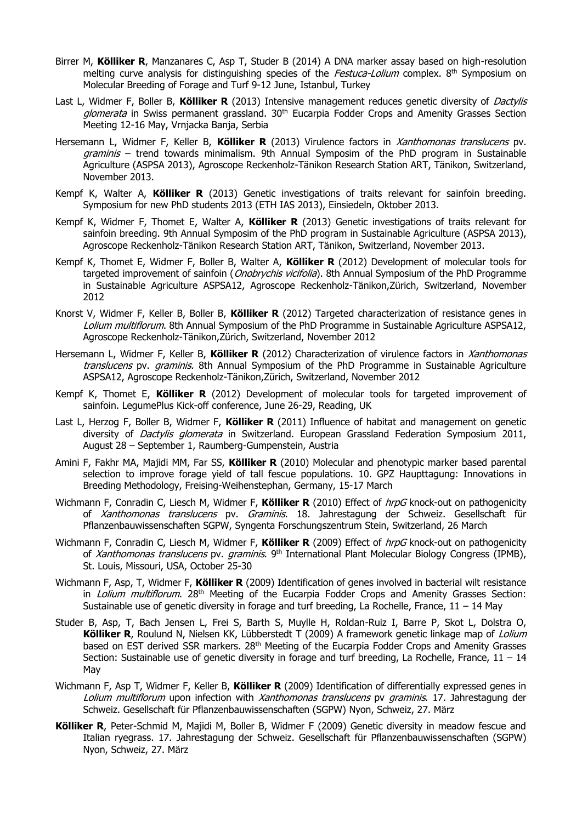- Birrer M, **Kölliker R**, Manzanares C, Asp T, Studer B (2014) A DNA marker assay based on high-resolution melting curve analysis for distinguishing species of the *Festuca-Lolium* complex. 8<sup>th</sup> Symposium on Molecular Breeding of Forage and Turf 9-12 June, Istanbul, Turkey
- Last L, Widmer F, Boller B, **Kölliker R** (2013) Intensive management reduces genetic diversity of Dactylis glomerata in Swiss permanent grassland. 30<sup>th</sup> Eucarpia Fodder Crops and Amenity Grasses Section Meeting 12-16 May, Vrnjacka Banja, Serbia
- Hersemann L, Widmer F, Keller B, **Kölliker R** (2013) Virulence factors in Xanthomonas translucens pv. graminis – trend towards minimalism. 9th Annual Symposim of the PhD program in Sustainable Agriculture (ASPSA 2013), Agroscope Reckenholz-Tänikon Research Station ART, Tänikon, Switzerland, November 2013.
- Kempf K, Walter A, **Kölliker R** (2013) Genetic investigations of traits relevant for sainfoin breeding. Symposium for new PhD students 2013 (ETH IAS 2013), Einsiedeln, Oktober 2013.
- Kempf K, Widmer F, Thomet E, Walter A, **Kölliker R** (2013) Genetic investigations of traits relevant for sainfoin breeding. 9th Annual Symposim of the PhD program in Sustainable Agriculture (ASPSA 2013), Agroscope Reckenholz-Tänikon Research Station ART, Tänikon, Switzerland, November 2013.
- Kempf K, Thomet E, Widmer F, Boller B, Walter A, **Kölliker R** (2012) Development of molecular tools for targeted improvement of sainfoin (*Onobrychis vicifolia*). 8th Annual Symposium of the PhD Programme in Sustainable Agriculture ASPSA12, Agroscope Reckenholz-Tänikon,Zürich, Switzerland, November 2012
- Knorst V, Widmer F, Keller B, Boller B, **Kölliker R** (2012) Targeted characterization of resistance genes in Lolium multiflorum. 8th Annual Symposium of the PhD Programme in Sustainable Agriculture ASPSA12, Agroscope Reckenholz-Tänikon,Zürich, Switzerland, November 2012
- Hersemann L, Widmer F, Keller B, **Kölliker R** (2012) Characterization of virulence factors in Xanthomonas translucens pv. graminis. 8th Annual Symposium of the PhD Programme in Sustainable Agriculture ASPSA12, Agroscope Reckenholz-Tänikon,Zürich, Switzerland, November 2012
- Kempf K, Thomet E, **Kölliker R** (2012) Development of molecular tools for targeted improvement of sainfoin. LegumePlus Kick-off conference, June 26-29, Reading, UK
- Last L, Herzog F, Boller B, Widmer F, **Kölliker R** (2011) Influence of habitat and management on genetic diversity of *Dactylis glomerata* in Switzerland. European Grassland Federation Symposium 2011, August 28 – September 1, Raumberg-Gumpenstein, Austria
- Amini F, Fakhr MA, Majidi MM, Far SS, **Kölliker R** (2010) Molecular and phenotypic marker based parental selection to improve forage yield of tall fescue populations. 10. GPZ Haupttagung: Innovations in Breeding Methodology, Freising-Weihenstephan, Germany, 15-17 March
- Wichmann F, Conradin C, Liesch M, Widmer F, **Kölliker R** (2010) Effect of hrpG knock-out on pathogenicity of Xanthomonas translucens pv. Graminis. 18. Jahrestagung der Schweiz. Gesellschaft für Pflanzenbauwissenschaften SGPW, Syngenta Forschungszentrum Stein, Switzerland, 26 March
- Wichmann F, Conradin C, Liesch M, Widmer F, **Kölliker R** (2009) Effect of hrpG knock-out on pathogenicity of Xanthomonas translucens pv. graminis. 9<sup>th</sup> International Plant Molecular Biology Congress (IPMB), St. Louis, Missouri, USA, October 25-30
- Wichmann F, Asp, T, Widmer F, **Kölliker R** (2009) Identification of genes involved in bacterial wilt resistance in *Lolium multiflorum*. 28<sup>th</sup> Meeting of the Eucarpia Fodder Crops and Amenity Grasses Section: Sustainable use of genetic diversity in forage and turf breeding, La Rochelle, France,  $11 - 14$  May
- Studer B, Asp, T, Bach Jensen L, Frei S, Barth S, Muylle H, Roldan-Ruiz I, Barre P, Skot L, Dolstra O, **Kölliker R**, Roulund N, Nielsen KK, Lübberstedt T (2009) A framework genetic linkage map of Lolium based on EST derived SSR markers. 28<sup>th</sup> Meeting of the Eucarpia Fodder Crops and Amenity Grasses Section: Sustainable use of genetic diversity in forage and turf breeding, La Rochelle, France,  $11 - 14$ May
- Wichmann F, Asp T, Widmer F, Keller B, **Kölliker R** (2009) Identification of differentially expressed genes in Lolium multiflorum upon infection with Xanthomonas translucens pv graminis. 17. Jahrestagung der Schweiz. Gesellschaft für Pflanzenbauwissenschaften (SGPW) Nyon, Schweiz, 27. März
- **Kölliker R**, Peter-Schmid M, Majidi M, Boller B, Widmer F (2009) Genetic diversity in meadow fescue and Italian ryegrass. 17. Jahrestagung der Schweiz. Gesellschaft für Pflanzenbauwissenschaften (SGPW) Nyon, Schweiz, 27. März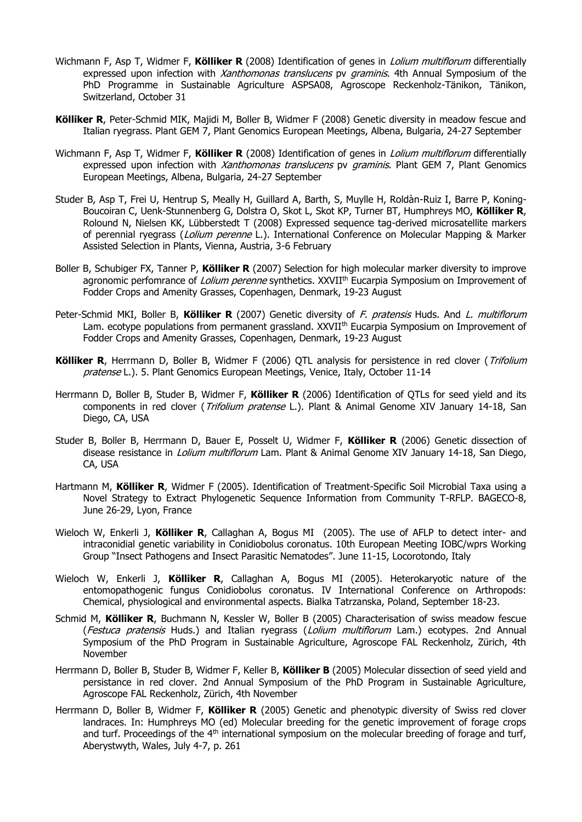- Wichmann F, Asp T, Widmer F, **Kölliker R** (2008) Identification of genes in Lolium multiflorum differentially expressed upon infection with *Xanthomonas translucens* py *graminis*. 4th Annual Symposium of the PhD Programme in Sustainable Agriculture ASPSA08, Agroscope Reckenholz-Tänikon, Tänikon, Switzerland, October 31
- **Kölliker R**, Peter-Schmid MIK, Majidi M, Boller B, Widmer F (2008) Genetic diversity in meadow fescue and Italian ryegrass. Plant GEM 7, Plant Genomics European Meetings, Albena, Bulgaria, 24-27 September
- Wichmann F, Asp T, Widmer F, **Kölliker R** (2008) Identification of genes in Lolium multiflorum differentially expressed upon infection with *Xanthomonas translucens* py *graminis*. Plant GEM 7, Plant Genomics European Meetings, Albena, Bulgaria, 24-27 September
- Studer B, Asp T, Frei U, Hentrup S, Meally H, Guillard A, Barth, S, Muylle H, Roldàn-Ruiz I, Barre P, Koning-Boucoiran C, Uenk-Stunnenberg G, Dolstra O, Skot L, Skot KP, Turner BT, Humphreys MO, **Kölliker R**, Rolound N, Nielsen KK, Lübberstedt T (2008) Expressed sequence tag-derived microsatellite markers of perennial ryegrass (*Lolium perenne* L.). International Conference on Molecular Mapping & Marker Assisted Selection in Plants, Vienna, Austria, 3-6 February
- Boller B, Schubiger FX, Tanner P, **Kölliker R** (2007) Selection for high molecular marker diversity to improve agronomic perfomrance of Lolium perenne synthetics. XXVII<sup>th</sup> Eucarpia Symposium on Improvement of Fodder Crops and Amenity Grasses, Copenhagen, Denmark, 19-23 August
- Peter-Schmid MKI, Boller B, **Kölliker R** (2007) Genetic diversity of F. pratensis Huds. And L. multiflorum Lam. ecotype populations from permanent grassland. XXVII<sup>th</sup> Eucarpia Symposium on Improvement of Fodder Crops and Amenity Grasses, Copenhagen, Denmark, 19-23 August
- Kölliker R, Herrmann D, Boller B, Widmer F (2006) QTL analysis for persistence in red clover (Trifolium pratense L.). 5. Plant Genomics European Meetings, Venice, Italy, October 11-14
- Herrmann D, Boller B, Studer B, Widmer F, **Kölliker R** (2006) Identification of QTLs for seed yield and its components in red clover (Trifolium pratense L.). Plant & Animal Genome XIV January 14-18, San Diego, CA, USA
- Studer B, Boller B, Herrmann D, Bauer E, Posselt U, Widmer F, **Kölliker R** (2006) Genetic dissection of disease resistance in *Lolium multiflorum* Lam. Plant & Animal Genome XIV January 14-18, San Diego, CA, USA
- Hartmann M, **Kölliker R**, Widmer F (2005). Identification of Treatment-Specific Soil Microbial Taxa using a Novel Strategy to Extract Phylogenetic Sequence Information from Community T-RFLP. BAGECO-8, June 26-29, Lyon, France
- Wieloch W, Enkerli J, **Kölliker R**, Callaghan A, Bogus MI (2005). The use of AFLP to detect inter- and intraconidial genetic variability in Conidiobolus coronatus. 10th European Meeting IOBC/wprs Working Group "Insect Pathogens and Insect Parasitic Nematodes". June 11-15, Locorotondo, Italy
- Wieloch W, Enkerli J, **Kölliker R**, Callaghan A, Bogus MI (2005). Heterokaryotic nature of the entomopathogenic fungus Conidiobolus coronatus. IV International Conference on Arthropods: Chemical, physiological and environmental aspects. Bialka Tatrzanska, Poland, September 18-23.
- Schmid M, **Kölliker R**, Buchmann N, Kessler W, Boller B (2005) Characterisation of swiss meadow fescue (Festuca pratensis Huds.) and Italian ryegrass (Lolium multiflorum Lam.) ecotypes. 2nd Annual Symposium of the PhD Program in Sustainable Agriculture, Agroscope FAL Reckenholz, Zürich, 4th November
- Herrmann D, Boller B, Studer B, Widmer F, Keller B, **Kölliker B** (2005) Molecular dissection of seed yield and persistance in red clover. 2nd Annual Symposium of the PhD Program in Sustainable Agriculture, Agroscope FAL Reckenholz, Zürich, 4th November
- Herrmann D, Boller B, Widmer F, **Kölliker R** (2005) Genetic and phenotypic diversity of Swiss red clover landraces. In: Humphreys MO (ed) Molecular breeding for the genetic improvement of forage crops and turf. Proceedings of the 4<sup>th</sup> international symposium on the molecular breeding of forage and turf, Aberystwyth, Wales, July 4-7, p. 261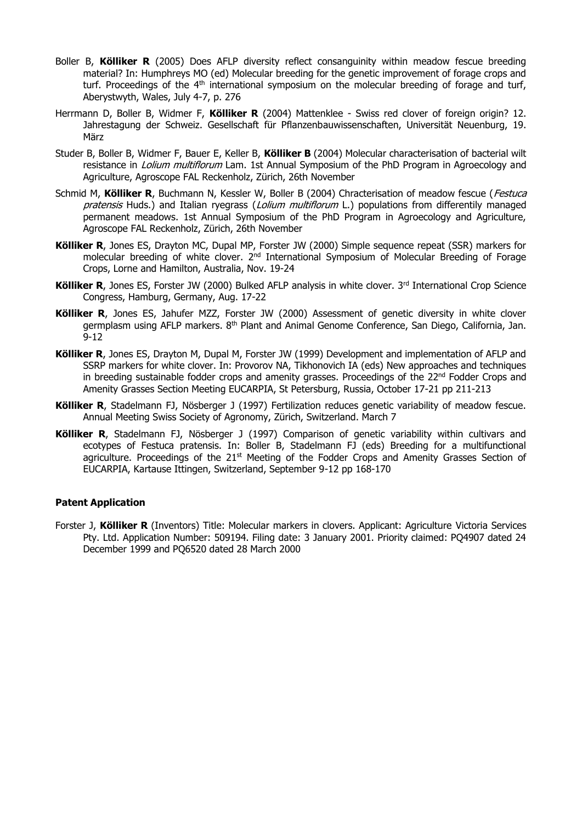- Boller B, **Kölliker R** (2005) Does AFLP diversity reflect consanguinity within meadow fescue breeding material? In: Humphreys MO (ed) Molecular breeding for the genetic improvement of forage crops and turf. Proceedings of the 4<sup>th</sup> international symposium on the molecular breeding of forage and turf, Aberystwyth, Wales, July 4-7, p. 276
- Herrmann D, Boller B, Widmer F, **Kölliker R** (2004) Mattenklee Swiss red clover of foreign origin? 12. Jahrestagung der Schweiz. Gesellschaft für Pflanzenbauwissenschaften, Universität Neuenburg, 19. März
- Studer B, Boller B, Widmer F, Bauer E, Keller B, **Kölliker B** (2004) Molecular characterisation of bacterial wilt resistance in *Lolium multiflorum* Lam. 1st Annual Symposium of the PhD Program in Agroecology and Agriculture, Agroscope FAL Reckenholz, Zürich, 26th November
- Schmid M, **Kölliker R**, Buchmann N, Kessler W, Boller B (2004) Chracterisation of meadow fescue (Festuca pratensis Huds.) and Italian ryegrass (*Lolium multiflorum* L.) populations from differentily managed permanent meadows. 1st Annual Symposium of the PhD Program in Agroecology and Agriculture, Agroscope FAL Reckenholz, Zürich, 26th November
- **Kölliker R**, Jones ES, Drayton MC, Dupal MP, Forster JW (2000) Simple sequence repeat (SSR) markers for molecular breeding of white clover. 2<sup>nd</sup> International Symposium of Molecular Breeding of Forage Crops, Lorne and Hamilton, Australia, Nov. 19-24
- **Kölliker R**, Jones ES, Forster JW (2000) Bulked AFLP analysis in white clover. 3<sup>rd</sup> International Crop Science Congress, Hamburg, Germany, Aug. 17-22
- **Kölliker R**, Jones ES, Jahufer MZZ, Forster JW (2000) Assessment of genetic diversity in white clover germplasm using AFLP markers. 8<sup>th</sup> Plant and Animal Genome Conference, San Diego, California, Jan. 9-12
- **Kölliker R**, Jones ES, Drayton M, Dupal M, Forster JW (1999) Development and implementation of AFLP and SSRP markers for white clover. In: Provorov NA, Tikhonovich IA (eds) New approaches and techniques in breeding sustainable fodder crops and amenity grasses. Proceedings of the 22<sup>nd</sup> Fodder Crops and Amenity Grasses Section Meeting EUCARPIA, St Petersburg, Russia, October 17-21 pp 211-213
- **Kölliker R**, Stadelmann FJ, Nösberger J (1997) Fertilization reduces genetic variability of meadow fescue. Annual Meeting Swiss Society of Agronomy, Zürich, Switzerland. March 7
- **Kölliker R**, Stadelmann FJ, Nösberger J (1997) Comparison of genetic variability within cultivars and ecotypes of Festuca pratensis. In: Boller B, Stadelmann FJ (eds) Breeding for a multifunctional agriculture. Proceedings of the  $21<sup>st</sup>$  Meeting of the Fodder Crops and Amenity Grasses Section of EUCARPIA, Kartause Ittingen, Switzerland, September 9-12 pp 168-170

## **Patent Application**

Forster J, **Kölliker R** (Inventors) Title: Molecular markers in clovers. Applicant: Agriculture Victoria Services Pty. Ltd. Application Number: 509194. Filing date: 3 January 2001. Priority claimed: PQ4907 dated 24 December 1999 and PQ6520 dated 28 March 2000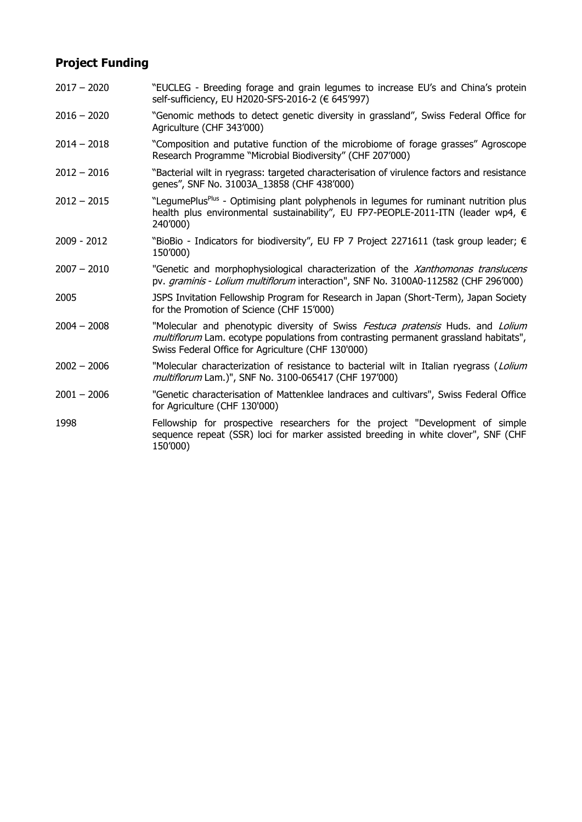## **Project Funding**

- 2017 2020 "EUCLEG Breeding forage and grain legumes to increase EU's and China's protein self-sufficiency, EU H2020-SFS-2016-2 (€ 645'997)
- 2016 2020 "Genomic methods to detect genetic diversity in grassland", Swiss Federal Office for Agriculture (CHF 343'000)
- 2014 2018 "Composition and putative function of the microbiome of forage grasses" Agroscope Research Programme "Microbial Biodiversity" (CHF 207'000)
- 2012 2016 "Bacterial wilt in ryegrass: targeted characterisation of virulence factors and resistance genes", SNF No. 31003A\_13858 (CHF 438'000)
- 2012 2015 TLegumePlus<sup>Plus</sup> Optimising plant polyphenols in legumes for ruminant nutrition plus health plus environmental sustainability", EU FP7-PEOPLE-2011-ITN (leader wp4, € 240'000)
- 2009 2012 "BioBio Indicators for biodiversity", EU FP 7 Project 2271611 (task group leader; € 150'000)
- 2007 2010 "Genetic and morphophysiological characterization of the Xanthomonas translucens pv. graminis - Lolium multiflorum interaction", SNF No. 3100A0-112582 (CHF 296'000)
- 2005 JSPS Invitation Fellowship Program for Research in Japan (Short-Term), Japan Society for the Promotion of Science (CHF 15'000)
- 2004 2008 "Molecular and phenotypic diversity of Swiss Festuca pratensis Huds. and Lolium multiflorum Lam. ecotype populations from contrasting permanent grassland habitats", Swiss Federal Office for Agriculture (CHF 130'000)
- 2002 2006 "Molecular characterization of resistance to bacterial wilt in Italian ryegrass (Lolium multiflorum Lam.)", SNF No. 3100-065417 (CHF 197'000)
- 2001 2006 "Genetic characterisation of Mattenklee landraces and cultivars", Swiss Federal Office for Agriculture (CHF 130'000)
- 1998 Fellowship for prospective researchers for the project "Development of simple sequence repeat (SSR) loci for marker assisted breeding in white clover", SNF (CHF 150'000)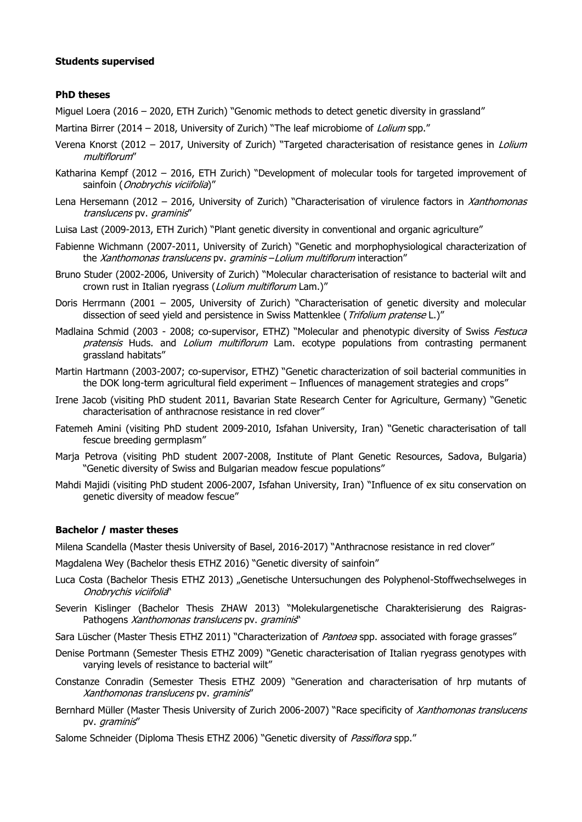## **Students supervised**

#### **PhD theses**

Miguel Loera (2016 – 2020, ETH Zurich) "Genomic methods to detect genetic diversity in grassland"

- Martina Birrer (2014 2018, University of Zurich) "The leaf microbiome of Lolium spp."
- Verena Knorst (2012 2017, University of Zurich) "Targeted characterisation of resistance genes in *Lolium* multiflorum"
- Katharina Kempf (2012 2016, ETH Zurich) "Development of molecular tools for targeted improvement of sainfoin (Onobrychis viciifolia)"
- Lena Hersemann (2012 2016, University of Zurich) "Characterisation of virulence factors in Xanthomonas translucens pv. graminis"
- Luisa Last (2009-2013, ETH Zurich) "Plant genetic diversity in conventional and organic agriculture"
- Fabienne Wichmann (2007-2011, University of Zurich) "Genetic and morphophysiological characterization of the Xanthomonas translucens pv. graminis - Lolium multiflorum interaction"
- Bruno Studer (2002-2006, University of Zurich) "Molecular characterisation of resistance to bacterial wilt and crown rust in Italian ryegrass (Lolium multiflorum Lam.)"
- Doris Herrmann (2001 2005, University of Zurich) "Characterisation of genetic diversity and molecular dissection of seed yield and persistence in Swiss Mattenklee (Trifolium pratense L.)"
- Madlaina Schmid (2003 2008; co-supervisor, ETHZ) "Molecular and phenotypic diversity of Swiss Festuca pratensis Huds. and Lolium multiflorum Lam. ecotype populations from contrasting permanent grassland habitats"
- Martin Hartmann (2003-2007; co-supervisor, ETHZ) "Genetic characterization of soil bacterial communities in the DOK long-term agricultural field experiment – Influences of management strategies and crops"
- Irene Jacob (visiting PhD student 2011, Bavarian State Research Center for Agriculture, Germany) "Genetic characterisation of anthracnose resistance in red clover"
- Fatemeh Amini (visiting PhD student 2009-2010, Isfahan University, Iran) "Genetic characterisation of tall fescue breeding germplasm"
- Marja Petrova (visiting PhD student 2007-2008, Institute of Plant Genetic Resources, Sadova, Bulgaria) "Genetic diversity of Swiss and Bulgarian meadow fescue populations"
- Mahdi Majidi (visiting PhD student 2006-2007, Isfahan University, Iran) "Influence of ex situ conservation on genetic diversity of meadow fescue"

## **Bachelor / master theses**

Milena Scandella (Master thesis University of Basel, 2016-2017) "Anthracnose resistance in red clover"

Magdalena Wey (Bachelor thesis ETHZ 2016) "Genetic diversity of sainfoin"

- Luca Costa (Bachelor Thesis ETHZ 2013) "Genetische Untersuchungen des Polyphenol-Stoffwechselweges in Onobrychis viciifolia"
- Severin Kislinger (Bachelor Thesis ZHAW 2013) "Molekulargenetische Charakterisierung des Raigras-Pathogens Xanthomonas translucens pv. graminis"
- Sara Lüscher (Master Thesis ETHZ 2011) "Characterization of *Pantoea* spp. associated with forage grasses"
- Denise Portmann (Semester Thesis ETHZ 2009) "Genetic characterisation of Italian ryegrass genotypes with varying levels of resistance to bacterial wilt"
- Constanze Conradin (Semester Thesis ETHZ 2009) "Generation and characterisation of hrp mutants of Xanthomonas translucens pv. graminis"
- Bernhard Müller (Master Thesis University of Zurich 2006-2007) "Race specificity of Xanthomonas translucens pv. graminis"
- Salome Schneider (Diploma Thesis ETHZ 2006) "Genetic diversity of *Passiflora* spp."